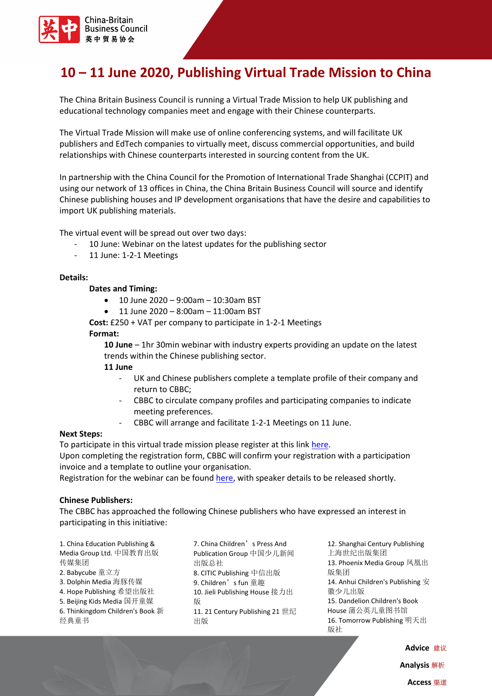

# **10 – 11 June 2020, Publishing Virtual Trade Mission to China**

The China Britain Business Council is running a Virtual Trade Mission to help UK publishing and educational technology companies meet and engage with their Chinese counterparts.

The Virtual Trade Mission will make use of online conferencing systems, and will facilitate UK publishers and EdTech companies to virtually meet, discuss commercial opportunities, and build relationships with Chinese counterparts interested in sourcing content from the UK.

In partnership with the China Council for the Promotion of International Trade Shanghai (CCPIT) and using our network of 13 offices in China, the China Britain Business Council will source and identify Chinese publishing houses and IP development organisations that have the desire and capabilities to import UK publishing materials.

The virtual event will be spread out over two days:

- 10 June: Webinar on the latest updates for the publishing sector
- 11 June: 1-2-1 Meetings

## **Details:**

#### **Dates and Timing:**

- 10 June 2020 9:00am 10:30am BST
- 11 June 2020 8:00am 11:00am BST

**Cost:** £250 + VAT per company to participate in 1-2-1 Meetings **Format:**

**10 June** – 1hr 30min webinar with industry experts providing an update on the latest trends within the Chinese publishing sector.

**11 June**

- UK and Chinese publishers complete a template profile of their company and return to CBBC;
- CBBC to circulate company profiles and participating companies to indicate meeting preferences.
- CBBC will arrange and facilitate 1-2-1 Meetings on 11 June.

#### **Next Steps:**

To participate in this virtual trade mission please register at this link [here.](https://portal.cbbc.org/civicrm/event/info?reset=1&id=2333)

Upon completing the registration form, CBBC will confirm your registration with a participation invoice and a template to outline your organisation.

Registration for the webinar can be found [here,](https://portal.cbbc.org/civicrm/event/info?reset=1&id=2332) with speaker details to be released shortly.

#### **Chinese Publishers:**

The CBBC has approached the following Chinese publishers who have expressed an interest in participating in this initiative:

1. China Education Publishing & Media Group Ltd. 中国教育出版 传媒集团 2. Babycube 童立方 3. Dolphin Media 海豚传媒 4. Hope Publishing 希望出版社 5. Beijing Kids Media 国开童媒 6. Thinkingdom Children's Book 新 经典童书

7. China Children's Press And Publication Group 中国少儿新闻 出版总社 8. CITIC Publishing 中信出版 9. Children's fun 童趣 10. Jieli Publishing House 接力出 版 11. 21 Century Publishing 21 世纪 出版

12. Shanghai Century Publishing 上海世纪出版集团 13. Phoenix Media Group 凤凰出 版集团 14. Anhui Children's Publishing 安 徽少儿出版 15. Dandelion Children's Book House 蒲公英儿童图书馆 16. Tomorrow Publishing 明天出 版社

> **Advice** 建议 **Analysis** 解析 **Access** 渠道